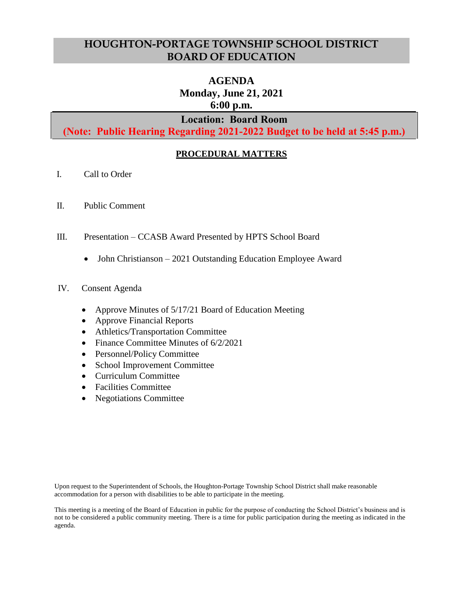## **HOUGHTON-PORTAGE TOWNSHIP SCHOOL DISTRICT BOARD OF EDUCATION**

# **AGENDA Monday, June 21, 2021 6:00 p.m.**

## **Location: Board Room**

**(Note: Public Hearing Regarding 2021-2022 Budget to be held at 5:45 p.m.)**

### **PROCEDURAL MATTERS**

- I. Call to Order
- II. Public Comment
- III. Presentation CCASB Award Presented by HPTS School Board
	- John Christianson 2021 Outstanding Education Employee Award
- IV. Consent Agenda
	- Approve Minutes of 5/17/21 Board of Education Meeting
	- Approve Financial Reports
	- Athletics/Transportation Committee
	- Finance Committee Minutes of 6/2/2021
	- Personnel/Policy Committee
	- School Improvement Committee
	- Curriculum Committee
	- Facilities Committee
	- Negotiations Committee

Upon request to the Superintendent of Schools, the Houghton-Portage Township School District shall make reasonable accommodation for a person with disabilities to be able to participate in the meeting.

This meeting is a meeting of the Board of Education in public for the purpose of conducting the School District's business and is not to be considered a public community meeting. There is a time for public participation during the meeting as indicated in the agenda.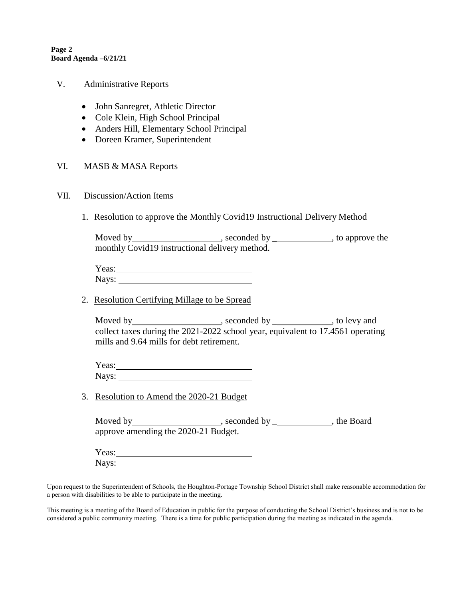**Page 2 Board Agenda –6/21/21**

- V. Administrative Reports
	- John Sanregret, Athletic Director
	- Cole Klein, High School Principal
	- Anders Hill, Elementary School Principal
	- Doreen Kramer, Superintendent

#### VI. MASB & MASA Reports

#### VII. Discussion/Action Items

1. Resolution to approve the Monthly Covid19 Instructional Delivery Method

Moved by \_\_\_\_\_\_\_\_\_\_\_\_\_\_\_\_\_\_\_\_\_, seconded by \_\_\_\_\_\_\_\_\_\_\_\_\_\_, to approve the monthly Covid19 instructional delivery method.

| Yeas: |  |
|-------|--|
| Nays: |  |

2. Resolution Certifying Millage to be Spread

Moved by \_\_\_\_\_\_\_\_\_\_\_\_\_\_\_\_\_, seconded by \_\_\_\_\_\_\_\_\_\_\_, to levy and collect taxes during the 2021-2022 school year, equivalent to 17.4561 operating mills and 9.64 mills for debt retirement.

Yeas: Nays:

3. Resolution to Amend the 2020-21 Budget

Moved by \_\_\_\_\_\_\_\_\_\_\_\_\_\_\_\_\_\_\_\_\_\_, seconded by \_\_\_\_\_\_\_\_\_\_\_\_\_\_, the Board approve amending the 2020-21 Budget.

Yeas: Nays:

This meeting is a meeting of the Board of Education in public for the purpose of conducting the School District's business and is not to be considered a public community meeting. There is a time for public participation during the meeting as indicated in the agenda.

Upon request to the Superintendent of Schools, the Houghton-Portage Township School District shall make reasonable accommodation for a person with disabilities to be able to participate in the meeting.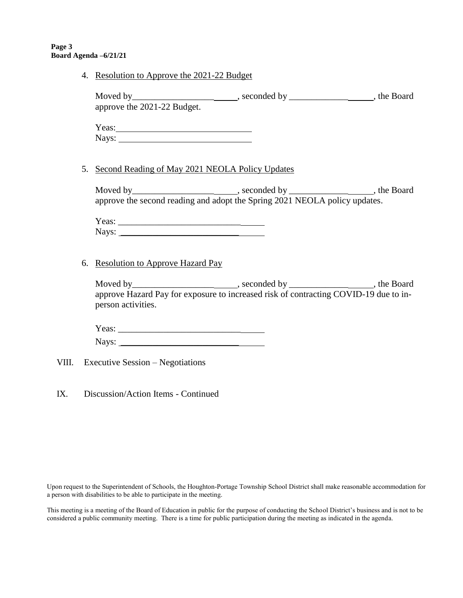4. Resolution to Approve the 2021-22 Budget

| approve the 2021-22 Budget.                                                                                                                                                                                                       |  |  |
|-----------------------------------------------------------------------------------------------------------------------------------------------------------------------------------------------------------------------------------|--|--|
| Yeas:                                                                                                                                                                                                                             |  |  |
| 5. Second Reading of May 2021 NEOLA Policy Updates                                                                                                                                                                                |  |  |
| approve the second reading and adopt the Spring 2021 NEOLA policy updates.                                                                                                                                                        |  |  |
|                                                                                                                                                                                                                                   |  |  |
| 6. Resolution to Approve Hazard Pay                                                                                                                                                                                               |  |  |
| $\frac{1}{1}$ 11 and 11 and 11 and 11 and 11 and 11 and 11 and 11 and 11 and 11 and 11 and 11 and 11 and 11 and 11 and 12 and 12 and 12 and 12 and 12 and 12 and 12 and 12 and 12 and 12 and 12 and 12 and 12 and 12 and 12 and 1 |  |  |

Moved by\_\_\_\_\_\_\_\_\_\_\_\_\_\_\_\_\_\_ , seconded by \_\_\_\_\_\_\_\_\_\_\_\_\_ , the Board approve Hazard Pay for exposure to increased risk of contracting COVID-19 due to inperson activities.

Yeas: \_\_\_\_\_\_\_\_\_\_\_\_\_\_\_\_\_\_\_\_\_\_\_\_\_\_\_ Nays: \_\_\_\_\_\_\_\_\_\_\_\_\_\_\_\_\_\_\_\_\_\_\_\_\_\_

VIII. Executive Session – Negotiations

IX. Discussion/Action Items - Continued

Upon request to the Superintendent of Schools, the Houghton-Portage Township School District shall make reasonable accommodation for a person with disabilities to be able to participate in the meeting.

This meeting is a meeting of the Board of Education in public for the purpose of conducting the School District's business and is not to be considered a public community meeting. There is a time for public participation during the meeting as indicated in the agenda.